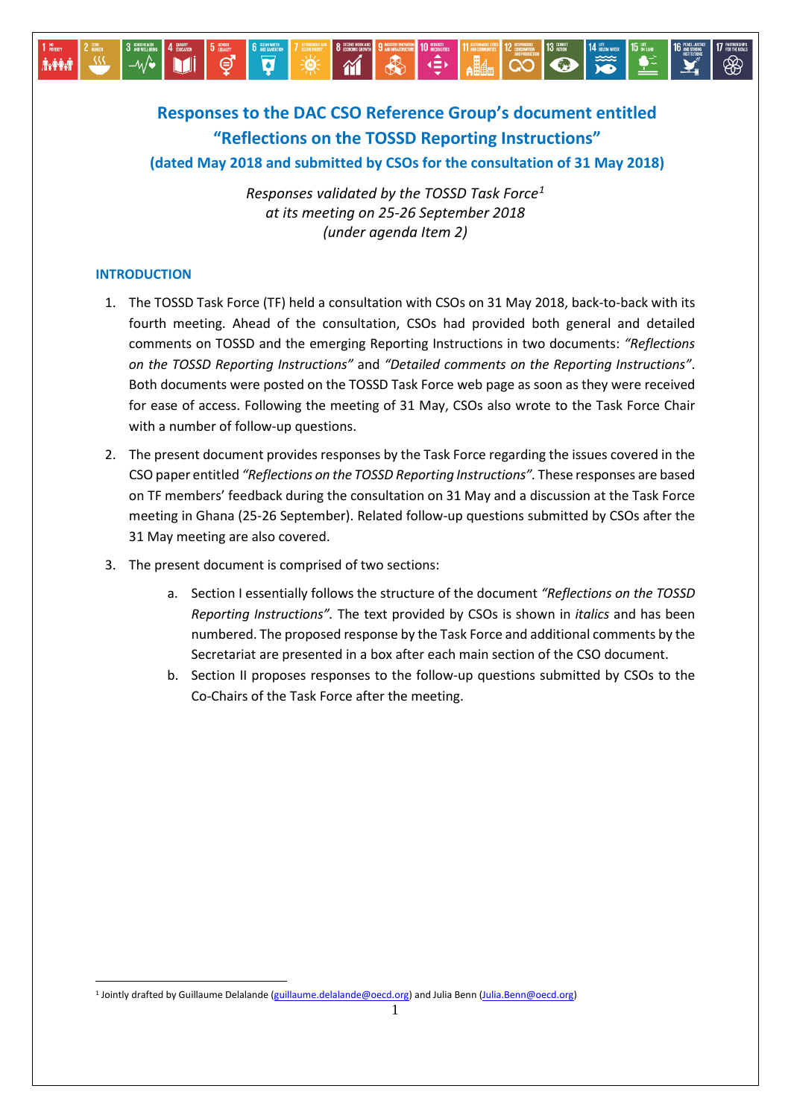# **Responses to the DAC CSO Reference Group's document entitled "Reflections on the TOSSD Reporting Instructions" (dated May 2018 and submitted by CSOs for the consultation of 31 May 2018)**

 $\mathbf{\hat{M}}$ 

Ø

13 ACTION

**ORDER THE CO** 

*Responses validated by the TOSSD Task Force[1](#page-0-0) at its meeting on 25-26 September 2018 (under agenda Item 2)*

#### **INTRODUCTION**

**İvêri** 

<u>.</u>

- 1. The TOSSD Task Force (TF) held a consultation with CSOs on 31 May 2018, back-to-back with its fourth meeting. Ahead of the consultation, CSOs had provided both general and detailed comments on TOSSD and the emerging Reporting Instructions in two documents: *"Reflections on the TOSSD Reporting Instructions"* and *"Detailed comments on the Reporting Instructions"*. Both documents were posted on the TOSSD Task Force web page as soon as they were received for ease of access. Following the meeting of 31 May, CSOs also wrote to the Task Force Chair with a number of follow-up questions.
- 2. The present document provides responses by the Task Force regarding the issues covered in the CSO paper entitled *"Reflections on the TOSSD Reporting Instructions".* These responses are based on TF members' feedback during the consultation on 31 May and a discussion at the Task Force meeting in Ghana (25-26 September). Related follow-up questions submitted by CSOs after the 31 May meeting are also covered.
- 3. The present document is comprised of two sections:
	- a. Section I essentially follows the structure of the document *"Reflections on the TOSSD Reporting Instructions".* The text provided by CSOs is shown in *italics* and has been numbered. The proposed response by the Task Force and additional comments by the Secretariat are presented in a box after each main section of the CSO document.
	- b. Section II proposes responses to the follow-up questions submitted by CSOs to the Co-Chairs of the Task Force after the meeting.

<span id="page-0-0"></span><sup>&</sup>lt;sup>1</sup> Jointly drafted by Guillaume Delalande [\(guillaume.delalande@oecd.org\)](mailto:guillaume.delalande@oecd.org) and Julia Benn (*Julia.Benn@oecd.org*)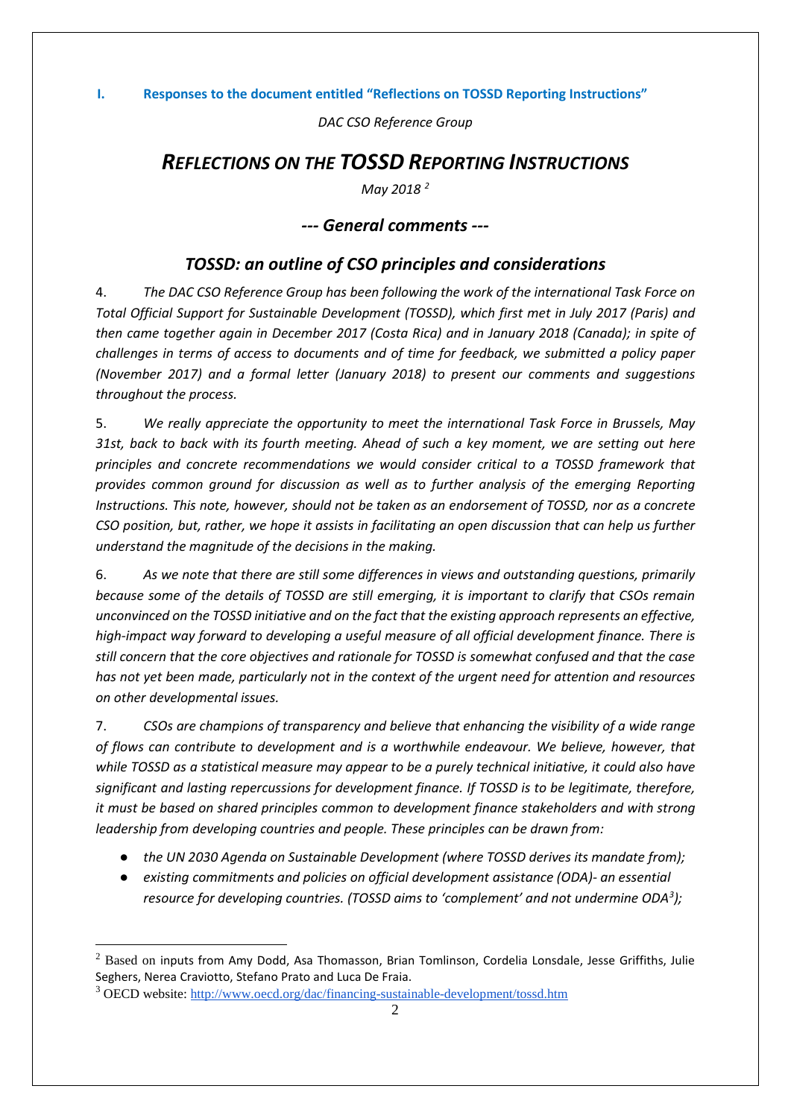*DAC CSO Reference Group*

# *REFLECTIONS ON THE TOSSD REPORTING INSTRUCTIONS*

*May 2018 [2](#page-1-0)*

# *--- General comments ---*

# *TOSSD: an outline of CSO principles and considerations*

4. *The DAC CSO Reference Group has been following the work of the international Task Force on Total Official Support for Sustainable Development (TOSSD), which first met in July 2017 (Paris) and then came together again in December 2017 (Costa Rica) and in January 2018 (Canada); in spite of challenges in terms of access to documents and of time for feedback, we submitted [a](https://drive.google.com/drive/folders/1S2bdZnUtTG9BpQfP-84x7VOKw8GgRvMa) [policy paper](https://drive.google.com/drive/folders/1S2bdZnUtTG9BpQfP-84x7VOKw8GgRvMa) (November 2017) and [a](https://drive.google.com/drive/folders/1S2bdZnUtTG9BpQfP-84x7VOKw8GgRvMa) [formal letter](https://drive.google.com/drive/folders/1S2bdZnUtTG9BpQfP-84x7VOKw8GgRvMa) (January 2018) to present our comments and suggestions throughout the process.*

5. *We really appreciate the opportunity to meet the international Task Force in Brussels, May 31st, back to back with its fourth meeting. Ahead of such a key moment, we are setting out here principles and concrete recommendations we would consider critical to a TOSSD framework that provides common ground for discussion as well as to further analysis of the emerging Reporting Instructions. This note, however, should not be taken as an endorsement of TOSSD, nor as a concrete CSO position, but, rather, we hope it assists in facilitating an open discussion that can help us further understand the magnitude of the decisions in the making.*

6. *As we note that there are still some differences in views and outstanding questions, primarily because some of the details of TOSSD are still emerging, it is important to clarify that CSOs remain unconvinced on the TOSSD initiative and on the fact that the existing approach represents an effective, high-impact way forward to developing a useful measure of all official development finance. There is still concern that the core objectives and rationale for TOSSD is somewhat confused and that the case has not yet been made, particularly not in the context of the urgent need for attention and resources on other developmental issues.* 

7. *CSOs are champions of transparency and believe that enhancing the visibility of a wide range of flows can contribute to development and is a worthwhile endeavour. We believe, however, that while TOSSD as a statistical measure may appear to be a purely technical initiative, it could also have significant and lasting repercussions for development finance. If TOSSD is to be legitimate, therefore, it must be based on shared principles common to development finance stakeholders and with strong leadership from developing countries and people. These principles can be drawn from:*

- *the UN 2030 Agenda on Sustainable Development (where TOSSD derives its mandate from);*
- *existing commitments and policies on official development assistance (ODA)- an essential resource for developing countries. (TOSSD aims to 'complement' and not undermine ODA[3](#page-1-1) );*

<span id="page-1-0"></span> $<sup>2</sup>$  Based on inputs from Amy Dodd, Asa Thomasson, Brian Tomlinson, Cordelia Lonsdale, Jesse Griffiths, Julie</sup> Seghers, Nerea Craviotto, Stefano Prato and Luca De Fraia.

<span id="page-1-1"></span><sup>3</sup> OECD website:<http://www.oecd.org/dac/financing-sustainable-development/tossd.htm>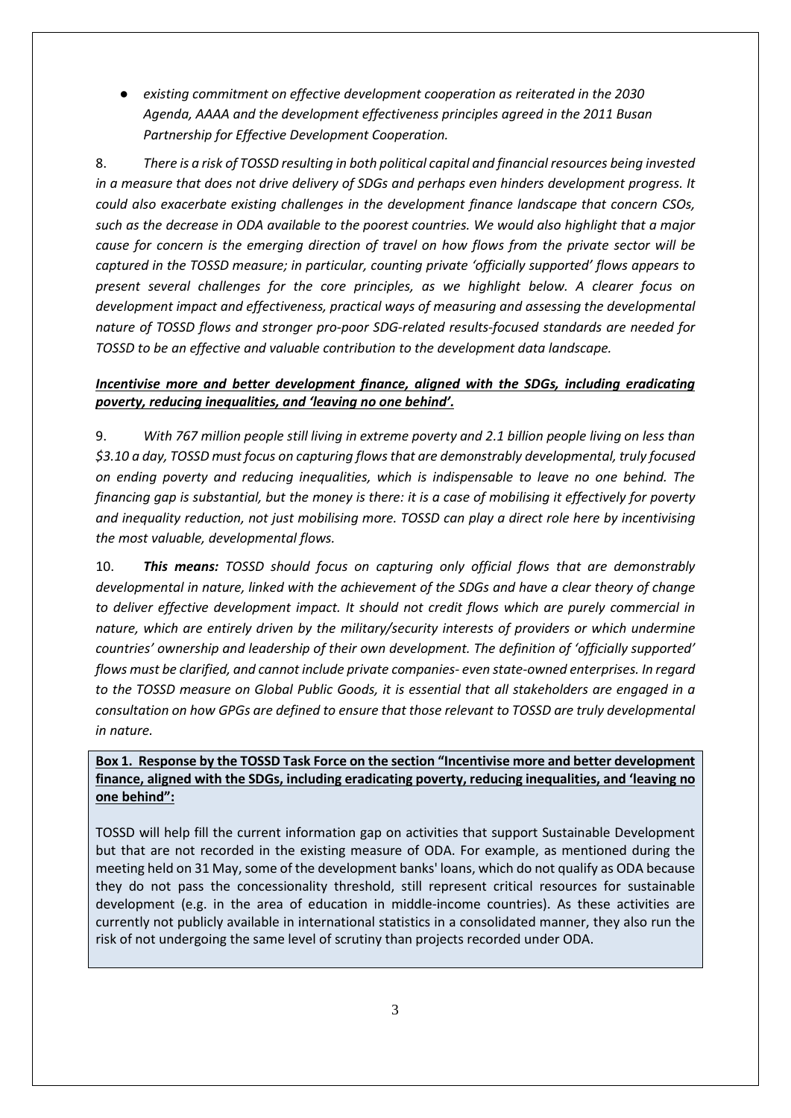● *existing commitment on effective development cooperation as reiterated in the 2030 Agenda, AAAA and the development effectiveness principles agreed in the 2011 Busan Partnership for Effective Development Cooperation.*

8. *There is a risk of TOSSD resulting in both political capital and financial resources being invested in a measure that does not drive delivery of SDGs and perhaps even hinders development progress. It could also exacerbate existing challenges in the development finance landscape that concern CSOs, such as the decrease in ODA available to the poorest countries. We would also highlight that a major cause for concern is the emerging direction of travel on how flows from the private sector will be captured in the TOSSD measure; in particular, counting private 'officially supported' flows appears to present several challenges for the core principles, as we highlight below. A clearer focus on development impact and effectiveness, practical ways of measuring and assessing the developmental nature of TOSSD flows and stronger pro-poor SDG-related results-focused standards are needed for TOSSD to be an effective and valuable contribution to the development data landscape.*

## *Incentivise more and better development finance, aligned with the SDGs, including eradicating poverty, reducing inequalities, and 'leaving no one behind'.*

9. *With 767 million people still living in extreme poverty and 2.1 billion people living on less than \$3.10 a day, TOSSD must focus on capturing flows that are demonstrably developmental, truly focused on ending poverty and reducing inequalities, which is indispensable to leave no one behind. The financing gap is substantial, but the money is there: it is a case of mobilising it effectively for poverty and inequality reduction, not just mobilising more. TOSSD can play a direct role here by incentivising the most valuable, developmental flows.*

10. *This means: TOSSD should focus on capturing only official flows that are demonstrably developmental in nature, linked with the achievement of the SDGs and have a clear theory of change to deliver effective development impact. It should not credit flows which are purely commercial in nature, which are entirely driven by the military/security interests of providers or which undermine countries' ownership and leadership of their own development. The definition of 'officially supported' flows must be clarified, and cannot include private companies- even state-owned enterprises. In regard to the TOSSD measure on Global Public Goods, it is essential that all stakeholders are engaged in a consultation on how GPGs are defined to ensure that those relevant to TOSSD are truly developmental in nature.*

**Box 1. Response by the TOSSD Task Force on the section "Incentivise more and better development finance, aligned with the SDGs, including eradicating poverty, reducing inequalities, and 'leaving no one behind":**

TOSSD will help fill the current information gap on activities that support Sustainable Development but that are not recorded in the existing measure of ODA. For example, as mentioned during the meeting held on 31 May, some of the development banks' loans, which do not qualify as ODA because they do not pass the concessionality threshold, still represent critical resources for sustainable development (e.g. in the area of education in middle-income countries). As these activities are currently not publicly available in international statistics in a consolidated manner, they also run the risk of not undergoing the same level of scrutiny than projects recorded under ODA.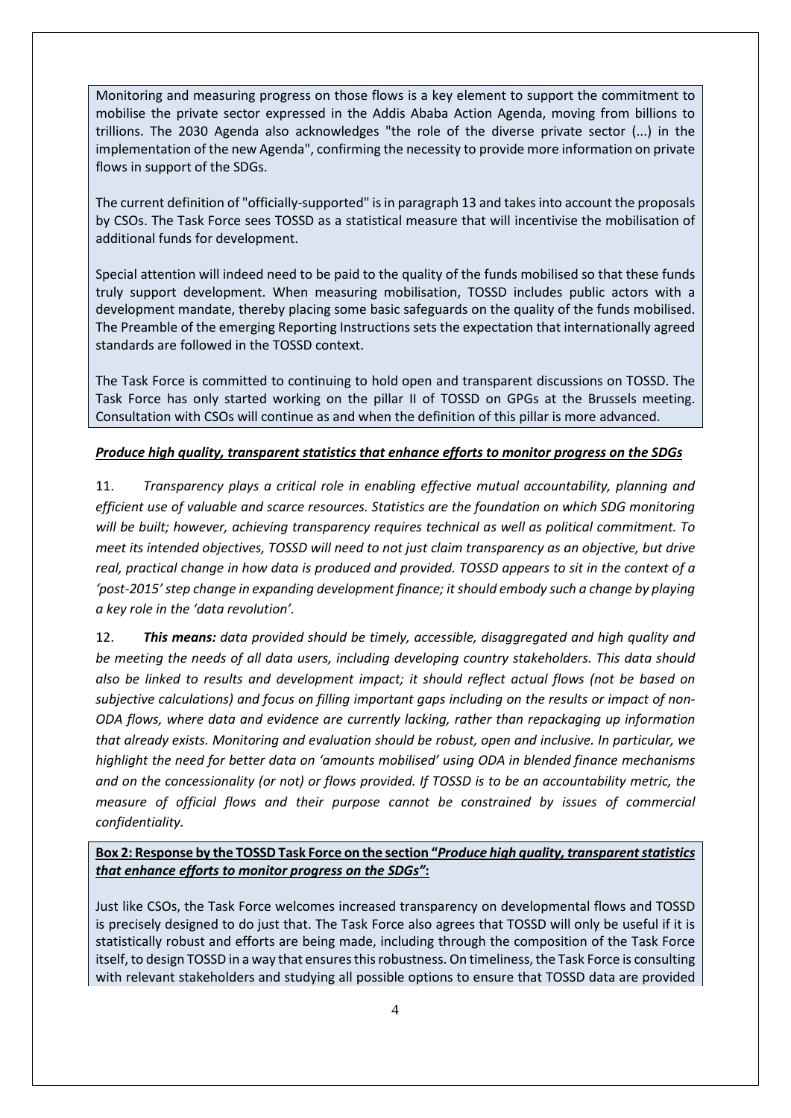Monitoring and measuring progress on those flows is a key element to support the commitment to mobilise the private sector expressed in the Addis Ababa Action Agenda, moving from billions to trillions. The 2030 Agenda also acknowledges "the role of the diverse private sector (...) in the implementation of the new Agenda", confirming the necessity to provide more information on private flows in support of the SDGs.

The current definition of "officially-supported" is in paragraph 13 and takes into account the proposals by CSOs. The Task Force sees TOSSD as a statistical measure that will incentivise the mobilisation of additional funds for development.

Special attention will indeed need to be paid to the quality of the funds mobilised so that these funds truly support development. When measuring mobilisation, TOSSD includes public actors with a development mandate, thereby placing some basic safeguards on the quality of the funds mobilised. The Preamble of the emerging Reporting Instructions sets the expectation that internationally agreed standards are followed in the TOSSD context.

The Task Force is committed to continuing to hold open and transparent discussions on TOSSD. The Task Force has only started working on the pillar II of TOSSD on GPGs at the Brussels meeting. Consultation with CSOs will continue as and when the definition of this pillar is more advanced.

## *Produce high quality, transparent statistics that enhance efforts to monitor progress on the SDGs*

11. *Transparency plays a critical role in enabling effective mutual accountability, planning and efficient use of valuable and scarce resources. Statistics are the foundation on which SDG monitoring will be built; however, achieving transparency requires technical as well as political commitment. To meet its intended objectives, TOSSD will need to not just claim transparency as an objective, but drive real, practical change in how data is produced and provided. TOSSD appears to sit in the context of a 'post-2015' step change in expanding development finance; it should embody such a change by playing a key role in the 'data revolution'.*

12. *This means: data provided should be timely, accessible, disaggregated and high quality and be meeting the needs of all data users, including developing country stakeholders. This data should also be linked to results and development impact; it should reflect actual flows (not be based on subjective calculations) and focus on filling important gaps including on the results or impact of non-ODA flows, where data and evidence are currently lacking, rather than repackaging up information that already exists. Monitoring and evaluation should be robust, open and inclusive. In particular, we highlight the need for better data on 'amounts mobilised' using ODA in blended finance mechanisms and on the concessionality (or not) or flows provided. If TOSSD is to be an accountability metric, the measure of official flows and their purpose cannot be constrained by issues of commercial confidentiality.*

# **Box 2: Response by the TOSSD Task Force on the section "***Produce high quality, transparent statistics that enhance efforts to monitor progress on the SDGs"***:**

Just like CSOs, the Task Force welcomes increased transparency on developmental flows and TOSSD is precisely designed to do just that. The Task Force also agrees that TOSSD will only be useful if it is statistically robust and efforts are being made, including through the composition of the Task Force itself, to design TOSSD in a way that ensures this robustness. On timeliness, the Task Force is consulting with relevant stakeholders and studying all possible options to ensure that TOSSD data are provided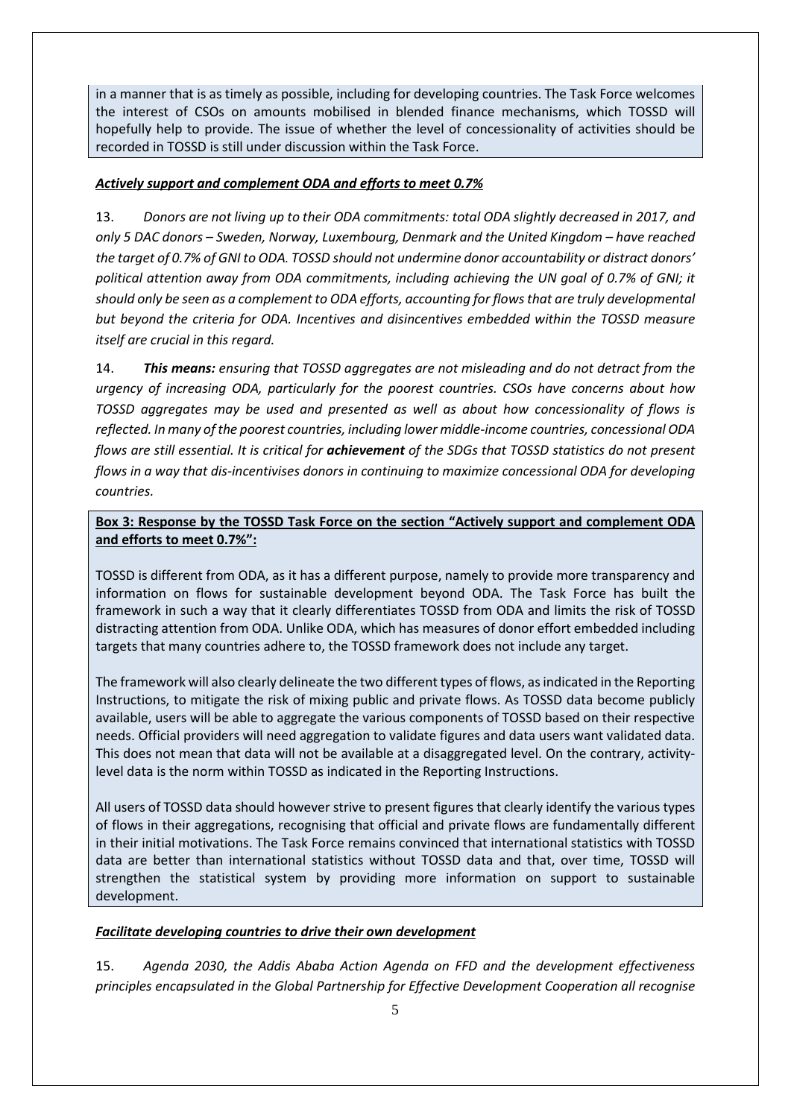in a manner that is as timely as possible, including for developing countries. The Task Force welcomes the interest of CSOs on amounts mobilised in blended finance mechanisms, which TOSSD will hopefully help to provide. The issue of whether the level of concessionality of activities should be recorded in TOSSD is still under discussion within the Task Force.

#### *Actively support and complement ODA and efforts to meet 0.7%*

13. *Donors are not living up to their ODA commitments: total ODA slightly decreased in 2017, and only 5 DAC donors – Sweden, Norway, Luxembourg, Denmark and the United Kingdom – have reached the target of 0.7% of GNI to ODA. TOSSD should not undermine donor accountability or distract donors' political attention away from ODA commitments, including achieving the UN goal of 0.7% of GNI; it should only be seen as a complement to ODA efforts, accounting for flows that are truly developmental but beyond the criteria for ODA. Incentives and disincentives embedded within the TOSSD measure itself are crucial in this regard.*

14. *This means: ensuring that TOSSD aggregates are not misleading and do not detract from the urgency of increasing ODA, particularly for the poorest countries. CSOs have concerns about how TOSSD aggregates may be used and presented as well as about how concessionality of flows is reflected. In many of the poorest countries, including lower middle-income countries, concessional ODA flows are still essential. It is critical for achievement of the SDGs that TOSSD statistics do not present flows in a way that dis-incentivises donors in continuing to maximize concessional ODA for developing countries.* 

# **Box 3: Response by the TOSSD Task Force on the section "Actively support and complement ODA and efforts to meet 0.7%":**

TOSSD is different from ODA, as it has a different purpose, namely to provide more transparency and information on flows for sustainable development beyond ODA. The Task Force has built the framework in such a way that it clearly differentiates TOSSD from ODA and limits the risk of TOSSD distracting attention from ODA. Unlike ODA, which has measures of donor effort embedded including targets that many countries adhere to, the TOSSD framework does not include any target.

The framework will also clearly delineate the two different types of flows, as indicated in the Reporting Instructions, to mitigate the risk of mixing public and private flows. As TOSSD data become publicly available, users will be able to aggregate the various components of TOSSD based on their respective needs. Official providers will need aggregation to validate figures and data users want validated data. This does not mean that data will not be available at a disaggregated level. On the contrary, activitylevel data is the norm within TOSSD as indicated in the Reporting Instructions.

All users of TOSSD data should however strive to present figures that clearly identify the various types of flows in their aggregations, recognising that official and private flows are fundamentally different in their initial motivations. The Task Force remains convinced that international statistics with TOSSD data are better than international statistics without TOSSD data and that, over time, TOSSD will strengthen the statistical system by providing more information on support to sustainable development.

# *Facilitate developing countries to drive their own development*

15. *Agenda 2030, the Addis Ababa Action Agenda on FFD and the development effectiveness principles encapsulated in the Global Partnership for Effective Development Cooperation all recognise*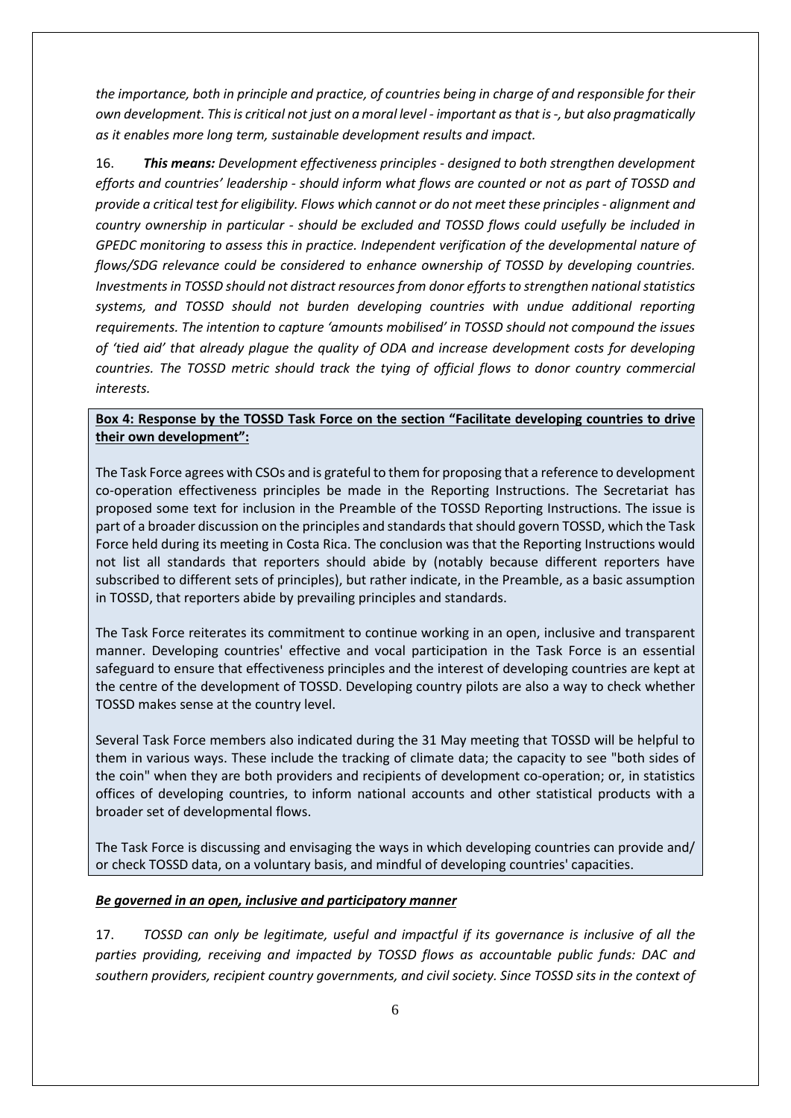*the importance, both in principle and practice, of countries being in charge of and responsible for their own development. This is critical not just on a moral level - important as that is -, but also pragmatically as it enables more long term, sustainable development results and impact.* 

16. *This means: Development effectiveness principles - designed to both strengthen development efforts and countries' leadership - should inform what flows are counted or not as part of TOSSD and provide a critical test for eligibility. Flows which cannot or do not meet these principles - alignment and country ownership in particular - should be excluded and TOSSD flows could usefully be included in GPEDC monitoring to assess this in practice. Independent verification of the developmental nature of flows/SDG relevance could be considered to enhance ownership of TOSSD by developing countries. Investments in TOSSD should not distract resources from donor efforts to strengthen national statistics systems, and TOSSD should not burden developing countries with undue additional reporting requirements. The intention to capture 'amounts mobilised' in TOSSD should not compound the issues of 'tied aid' that already plague the quality of ODA and increase development costs for developing countries. The TOSSD metric should track the tying of official flows to donor country commercial interests.*

## **Box 4: Response by the TOSSD Task Force on the section "Facilitate developing countries to drive their own development":**

The Task Force agrees with CSOs and is grateful to them for proposing that a reference to development co-operation effectiveness principles be made in the Reporting Instructions. The Secretariat has proposed some text for inclusion in the Preamble of the TOSSD Reporting Instructions. The issue is part of a broader discussion on the principles and standards that should govern TOSSD, which the Task Force held during its meeting in Costa Rica. The conclusion was that the Reporting Instructions would not list all standards that reporters should abide by (notably because different reporters have subscribed to different sets of principles), but rather indicate, in the Preamble, as a basic assumption in TOSSD, that reporters abide by prevailing principles and standards.

The Task Force reiterates its commitment to continue working in an open, inclusive and transparent manner. Developing countries' effective and vocal participation in the Task Force is an essential safeguard to ensure that effectiveness principles and the interest of developing countries are kept at the centre of the development of TOSSD. Developing country pilots are also a way to check whether TOSSD makes sense at the country level.

Several Task Force members also indicated during the 31 May meeting that TOSSD will be helpful to them in various ways. These include the tracking of climate data; the capacity to see "both sides of the coin" when they are both providers and recipients of development co-operation; or, in statistics offices of developing countries, to inform national accounts and other statistical products with a broader set of developmental flows.

The Task Force is discussing and envisaging the ways in which developing countries can provide and/ or check TOSSD data, on a voluntary basis, and mindful of developing countries' capacities.

#### *Be governed in an open, inclusive and participatory manner*

17. *TOSSD can only be legitimate, useful and impactful if its governance is inclusive of all the parties providing, receiving and impacted by TOSSD flows as accountable public funds: DAC and southern providers, recipient country governments, and civil society. Since TOSSD sits in the context of*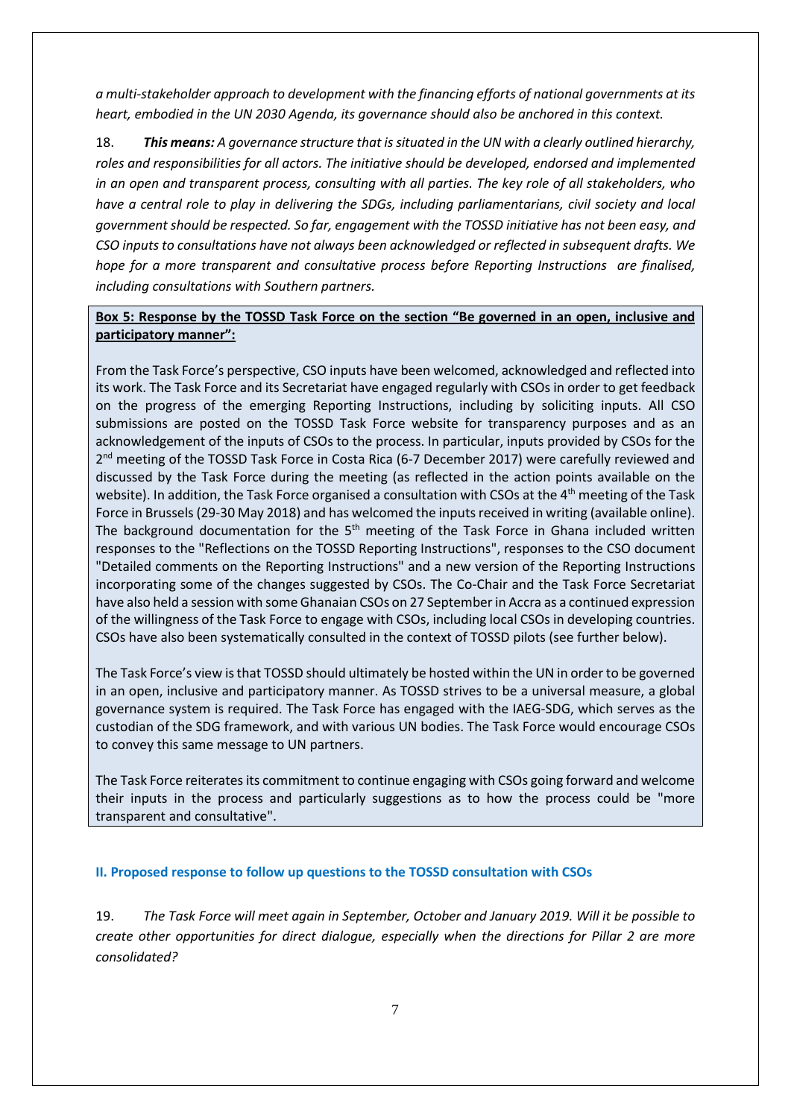*a multi-stakeholder approach to development with the financing efforts of national governments at its heart, embodied in the UN 2030 Agenda, its governance should also be anchored in this context.* 

18. *This means: A governance structure that is situated in the UN with a clearly outlined hierarchy, roles and responsibilities for all actors. The initiative should be developed, endorsed and implemented in an open and transparent process, consulting with all parties. The key role of all stakeholders, who have a central role to play in delivering the SDGs, including parliamentarians, civil society and local government should be respected. So far, engagement with the TOSSD initiative has not been easy, and CSO inputs to consultations have not always been acknowledged or reflected in subsequent drafts. We hope for a more transparent and consultative process before Reporting Instructions are finalised, including consultations with Southern partners.* 

### **Box 5: Response by the TOSSD Task Force on the section "Be governed in an open, inclusive and participatory manner":**

From the Task Force's perspective, CSO inputs have been welcomed, acknowledged and reflected into its work. The Task Force and its Secretariat have engaged regularly with CSOs in order to get feedback on the progress of the emerging Reporting Instructions, including by soliciting inputs. All CSO submissions are posted on the TOSSD Task Force website for transparency purposes and as an acknowledgement of the inputs of CSOs to the process. In particular, inputs provided by CSOs for the 2<sup>nd</sup> meeting of the TOSSD Task Force in Costa Rica (6-7 December 2017) were carefully reviewed and discussed by the Task Force during the meeting (as reflected in the action points available on the website). In addition, the Task Force organised a consultation with CSOs at the 4<sup>th</sup> meeting of the Task Force in Brussels (29-30 May 2018) and has welcomed the inputs received in writing (available online). The background documentation for the  $5<sup>th</sup>$  meeting of the Task Force in Ghana included written responses to the "Reflections on the TOSSD Reporting Instructions", responses to the CSO document "Detailed comments on the Reporting Instructions" and a new version of the Reporting Instructions incorporating some of the changes suggested by CSOs. The Co-Chair and the Task Force Secretariat have also held a session with some Ghanaian CSOs on 27 September in Accra as a continued expression of the willingness of the Task Force to engage with CSOs, including local CSOs in developing countries. CSOs have also been systematically consulted in the context of TOSSD pilots (see further below).

The Task Force's view is that TOSSD should ultimately be hosted within the UN in order to be governed in an open, inclusive and participatory manner. As TOSSD strives to be a universal measure, a global governance system is required. The Task Force has engaged with the IAEG-SDG, which serves as the custodian of the SDG framework, and with various UN bodies. The Task Force would encourage CSOs to convey this same message to UN partners.

The Task Force reiterates its commitment to continue engaging with CSOs going forward and welcome their inputs in the process and particularly suggestions as to how the process could be "more transparent and consultative".

#### **II. Proposed response to follow up questions to the TOSSD consultation with CSOs**

19. *The Task Force will meet again in September, October and January 2019. Will it be possible to create other opportunities for direct dialogue, especially when the directions for Pillar 2 are more consolidated?*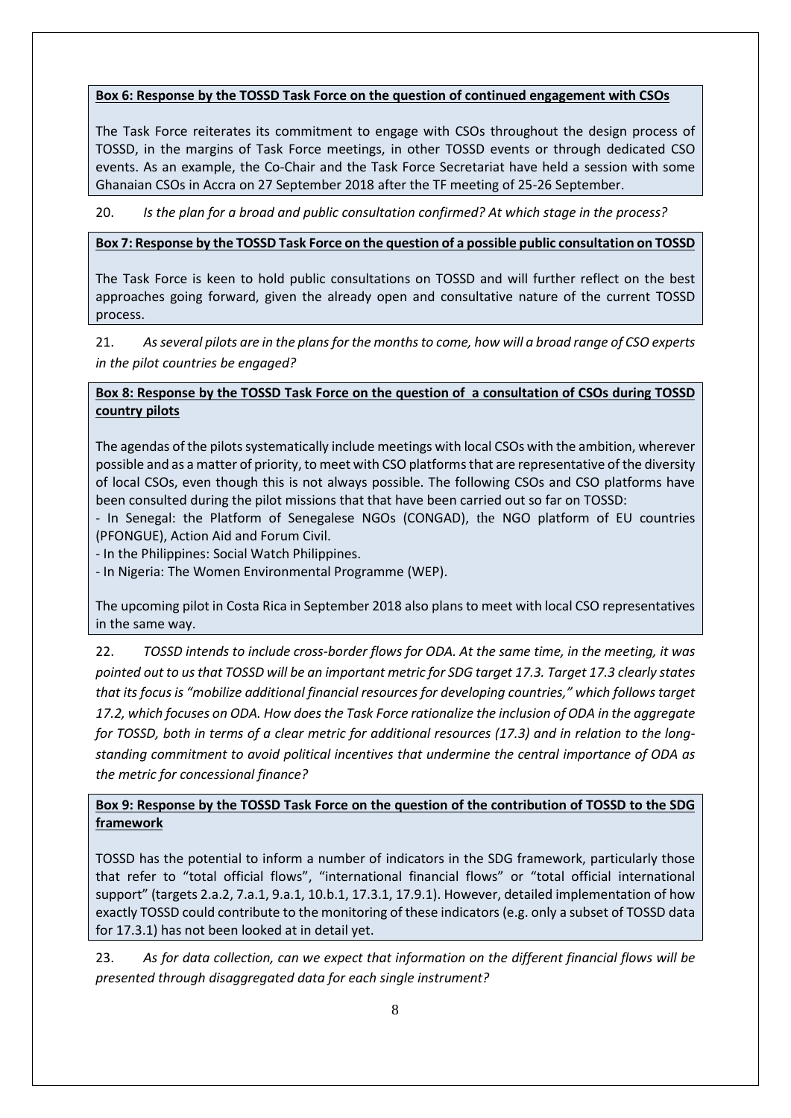#### **Box 6: Response by the TOSSD Task Force on the question of continued engagement with CSOs**

The Task Force reiterates its commitment to engage with CSOs throughout the design process of TOSSD, in the margins of Task Force meetings, in other TOSSD events or through dedicated CSO events. As an example, the Co-Chair and the Task Force Secretariat have held a session with some Ghanaian CSOs in Accra on 27 September 2018 after the TF meeting of 25-26 September.

20. *Is the plan for a broad and public consultation confirmed? At which stage in the process?*

#### **Box 7: Response by the TOSSD Task Force on the question of a possible public consultation on TOSSD**

The Task Force is keen to hold public consultations on TOSSD and will further reflect on the best approaches going forward, given the already open and consultative nature of the current TOSSD process.

21. *As several pilots are in the plans for the months to come, how will a broad range of CSO experts in the pilot countries be engaged?*

# **Box 8: Response by the TOSSD Task Force on the question of a consultation of CSOs during TOSSD country pilots**

The agendas of the pilots systematically include meetings with local CSOs with the ambition, wherever possible and as a matter of priority, to meet with CSO platforms that are representative of the diversity of local CSOs, even though this is not always possible. The following CSOs and CSO platforms have been consulted during the pilot missions that that have been carried out so far on TOSSD:

- In Senegal: the Platform of Senegalese NGOs (CONGAD), the NGO platform of EU countries (PFONGUE), Action Aid and Forum Civil.

- In the Philippines: Social Watch Philippines.

- In Nigeria: The Women Environmental Programme (WEP).

The upcoming pilot in Costa Rica in September 2018 also plans to meet with local CSO representatives in the same way.

22. *TOSSD intends to include cross-border flows for ODA. At the same time, in the meeting, it was pointed out to us that TOSSD will be an important metric for SDG target 17.3. Target 17.3 clearly states that its focus is "mobilize additional financial resources for developing countries," which follows target 17.2, which focuses on ODA. How does the Task Force rationalize the inclusion of ODA in the aggregate for TOSSD, both in terms of a clear metric for additional resources (17.3) and in relation to the longstanding commitment to avoid political incentives that undermine the central importance of ODA as the metric for concessional finance?*

# **Box 9: Response by the TOSSD Task Force on the question of the contribution of TOSSD to the SDG framework**

TOSSD has the potential to inform a number of indicators in the SDG framework, particularly those that refer to "total official flows", "international financial flows" or "total official international support" (targets 2.a.2, 7.a.1, 9.a.1, 10.b.1, 17.3.1, 17.9.1). However, detailed implementation of how exactly TOSSD could contribute to the monitoring of these indicators (e.g. only a subset of TOSSD data for 17.3.1) has not been looked at in detail yet.

23. *As for data collection, can we expect that information on the different financial flows will be presented through disaggregated data for each single instrument?*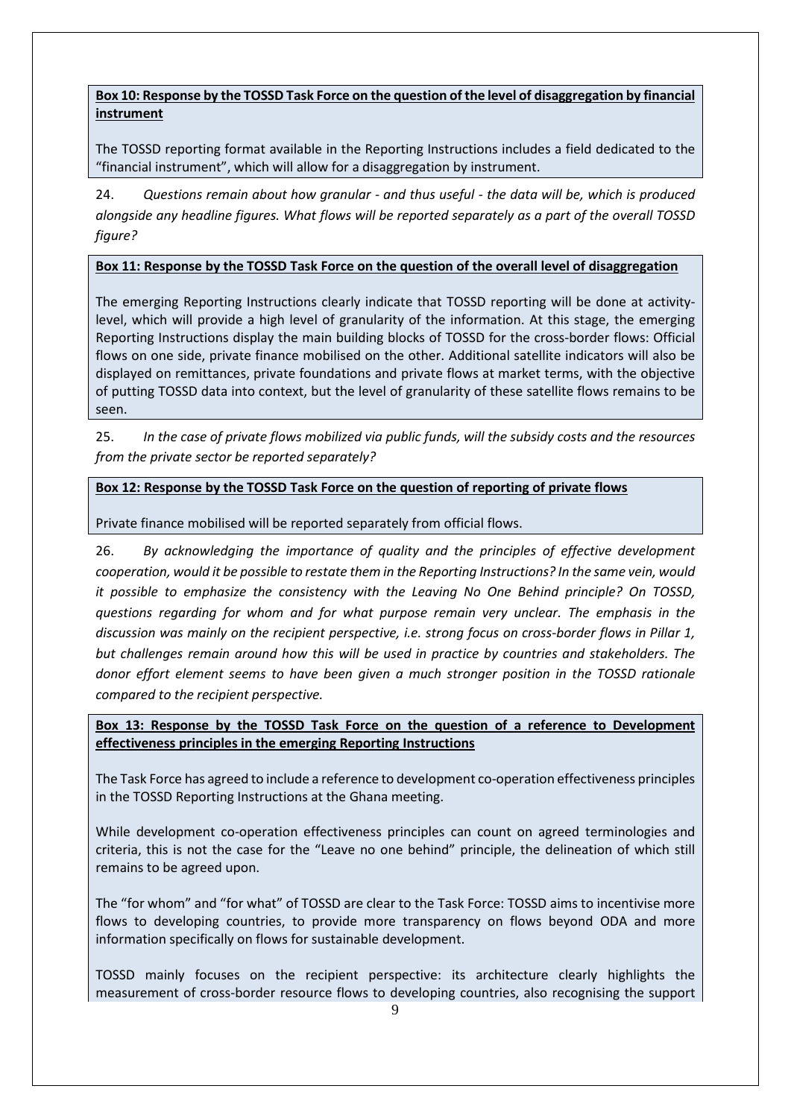**Box 10: Response by the TOSSD Task Force on the question of the level of disaggregation by financial instrument**

The TOSSD reporting format available in the Reporting Instructions includes a field dedicated to the "financial instrument", which will allow for a disaggregation by instrument.

24. *Questions remain about how granular - and thus useful - the data will be, which is produced alongside any headline figures. What flows will be reported separately as a part of the overall TOSSD figure?*

#### **Box 11: Response by the TOSSD Task Force on the question of the overall level of disaggregation**

The emerging Reporting Instructions clearly indicate that TOSSD reporting will be done at activitylevel, which will provide a high level of granularity of the information. At this stage, the emerging Reporting Instructions display the main building blocks of TOSSD for the cross-border flows: Official flows on one side, private finance mobilised on the other. Additional satellite indicators will also be displayed on remittances, private foundations and private flows at market terms, with the objective of putting TOSSD data into context, but the level of granularity of these satellite flows remains to be seen.

25. *In the case of private flows mobilized via public funds, will the subsidy costs and the resources from the private sector be reported separately?*

#### **Box 12: Response by the TOSSD Task Force on the question of reporting of private flows**

Private finance mobilised will be reported separately from official flows.

26. *By acknowledging the importance of quality and the principles of effective development cooperation, would it be possible to restate them in the Reporting Instructions? In the same vein, would it possible to emphasize the consistency with the Leaving No One Behind principle? On TOSSD, questions regarding for whom and for what purpose remain very unclear. The emphasis in the discussion was mainly on the recipient perspective, i.e. strong focus on cross-border flows in Pillar 1, but challenges remain around how this will be used in practice by countries and stakeholders. The donor effort element seems to have been given a much stronger position in the TOSSD rationale compared to the recipient perspective.*

**Box 13: Response by the TOSSD Task Force on the question of a reference to Development effectiveness principles in the emerging Reporting Instructions** 

The Task Force has agreed to include a reference to development co-operation effectiveness principles in the TOSSD Reporting Instructions at the Ghana meeting.

While development co-operation effectiveness principles can count on agreed terminologies and criteria, this is not the case for the "Leave no one behind" principle, the delineation of which still remains to be agreed upon.

The "for whom" and "for what" of TOSSD are clear to the Task Force: TOSSD aims to incentivise more flows to developing countries, to provide more transparency on flows beyond ODA and more information specifically on flows for sustainable development.

TOSSD mainly focuses on the recipient perspective: its architecture clearly highlights the measurement of cross-border resource flows to developing countries, also recognising the support